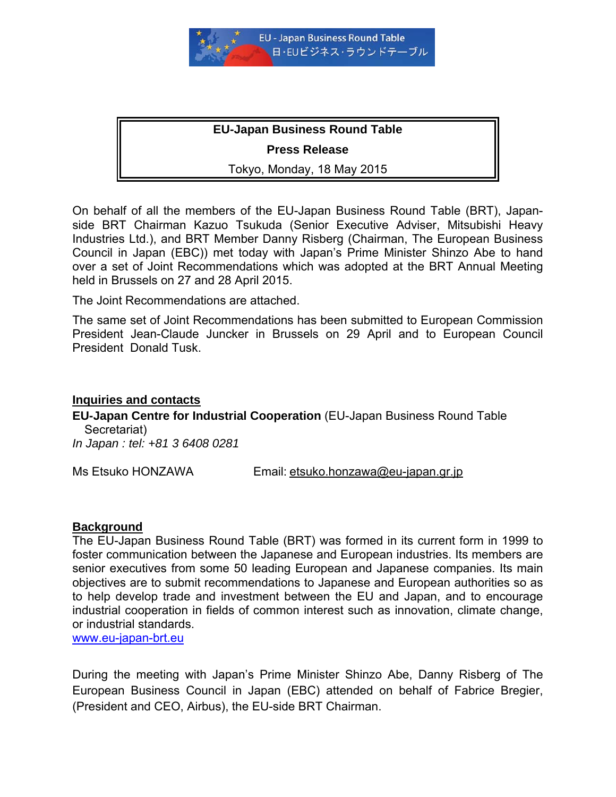

#### **EU-Japan Business Round Table**

#### **Press Release**

Tokyo, Monday, 18 May 2015

On behalf of all the members of the EU-Japan Business Round Table (BRT), Japanside BRT Chairman Kazuo Tsukuda (Senior Executive Adviser, Mitsubishi Heavy Industries Ltd.), and BRT Member Danny Risberg (Chairman, The European Business Council in Japan (EBC)) met today with Japan's Prime Minister Shinzo Abe to hand over a set of Joint Recommendations which was adopted at the BRT Annual Meeting held in Brussels on 27 and 28 April 2015.

The Joint Recommendations are attached.

The same set of Joint Recommendations has been submitted to European Commission President Jean-Claude Juncker in Brussels on 29 April and to European Council President Donald Tusk.

#### **Inquiries and contacts**

**EU-Japan Centre for Industrial Cooperation** (EU-Japan Business Round Table Secretariat)

*In Japan : tel: +81 3 6408 0281* 

Ms Etsuko HONZAWA Email: [etsuko.honzawa@eu-japan.gr.jp](mailto:etsuko.honzawa@eu-japan.gr.jp)

#### **Background**

The EU-Japan Business Round Table (BRT) was formed in its current form in 1999 to foster communication between the Japanese and European industries. Its members are senior executives from some 50 leading European and Japanese companies. Its main objectives are to submit recommendations to Japanese and European authorities so as to help develop trade and investment between the EU and Japan, and to encourage industrial cooperation in fields of common interest such as innovation, climate change, or industrial standards.

[www.eu-japan-brt.eu](http://www.eu-japan-brt.eu/)

During the meeting with Japan's Prime Minister Shinzo Abe, Danny Risberg of The European Business Council in Japan (EBC) attended on behalf of Fabrice Bregier, (President and CEO, Airbus), the EU-side BRT Chairman.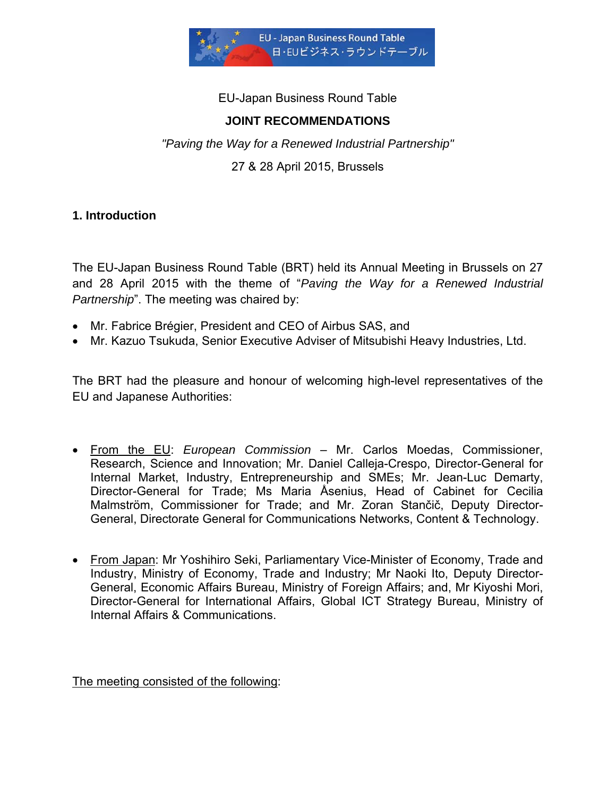

EU-Japan Business Round Table

## **JOINT RECOMMENDATIONS**

*"Paving the Way for a Renewed Industrial Partnership"*

27 & 28 April 2015, Brussels

### **1. Introduction**

The EU-Japan Business Round Table (BRT) held its Annual Meeting in Brussels on 27 and 28 April 2015 with the theme of "*Paving the Way for a Renewed Industrial Partnership*". The meeting was chaired by:

- Mr. Fabrice Brégier, President and CEO of Airbus SAS, and
- Mr. Kazuo Tsukuda, Senior Executive Adviser of Mitsubishi Heavy Industries, Ltd.

The BRT had the pleasure and honour of welcoming high-level representatives of the EU and Japanese Authorities:

- From the EU: *European Commission* Mr. Carlos Moedas, Commissioner, Research, Science and Innovation; Mr. Daniel Calleja-Crespo, Director-General for Internal Market, Industry, Entrepreneurship and SMEs; Mr. Jean-Luc Demarty, Director-General for Trade; Ms Maria Åsenius, Head of Cabinet for Cecilia Malmström, Commissioner for Trade; and Mr. Zoran Stančič, Deputy Director-General, Directorate General for Communications Networks, Content & Technology.
- From Japan: Mr Yoshihiro Seki, Parliamentary Vice-Minister of Economy, Trade and Industry, Ministry of Economy, Trade and Industry; Mr Naoki Ito, Deputy Director-General, Economic Affairs Bureau, Ministry of Foreign Affairs; and, Mr Kiyoshi Mori, Director-General for International Affairs, Global ICT Strategy Bureau, Ministry of Internal Affairs & Communications.

The meeting consisted of the following: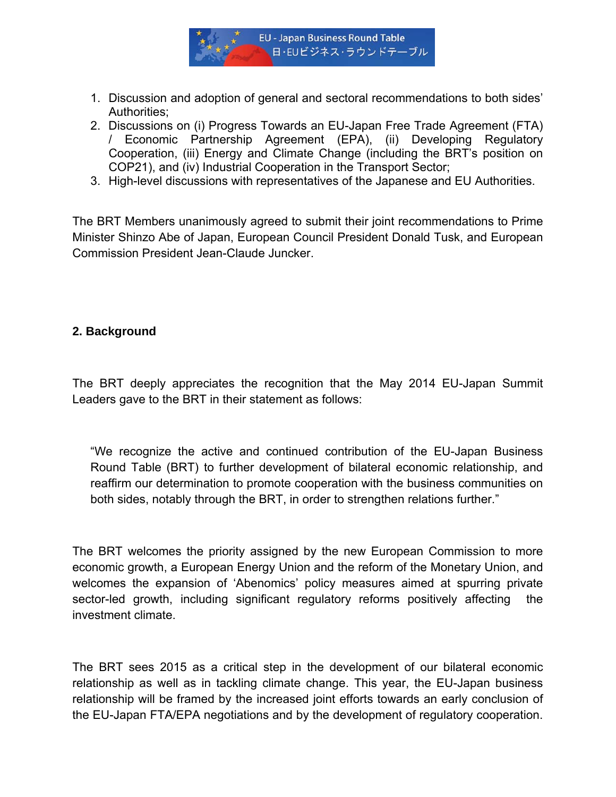

- 1. Discussion and adoption of general and sectoral recommendations to both sides' Authorities;
- 2. Discussions on (i) Progress Towards an EU-Japan Free Trade Agreement (FTA) / Economic Partnership Agreement (EPA), (ii) Developing Regulatory Cooperation, (iii) Energy and Climate Change (including the BRT's position on COP21), and (iv) Industrial Cooperation in the Transport Sector;
- 3. High-level discussions with representatives of the Japanese and EU Authorities.

The BRT Members unanimously agreed to submit their joint recommendations to Prime Minister Shinzo Abe of Japan, European Council President Donald Tusk, and European Commission President Jean-Claude Juncker.

### **2. Background**

The BRT deeply appreciates the recognition that the May 2014 EU-Japan Summit Leaders gave to the BRT in their statement as follows:

"We recognize the active and continued contribution of the EU-Japan Business Round Table (BRT) to further development of bilateral economic relationship, and reaffirm our determination to promote cooperation with the business communities on both sides, notably through the BRT, in order to strengthen relations further."

The BRT welcomes the priority assigned by the new European Commission to more economic growth, a European Energy Union and the reform of the Monetary Union, and welcomes the expansion of 'Abenomics' policy measures aimed at spurring private sector-led growth, including significant regulatory reforms positively affecting the investment climate.

The BRT sees 2015 as a critical step in the development of our bilateral economic relationship as well as in tackling climate change. This year, the EU-Japan business relationship will be framed by the increased joint efforts towards an early conclusion of the EU-Japan FTA/EPA negotiations and by the development of regulatory cooperation.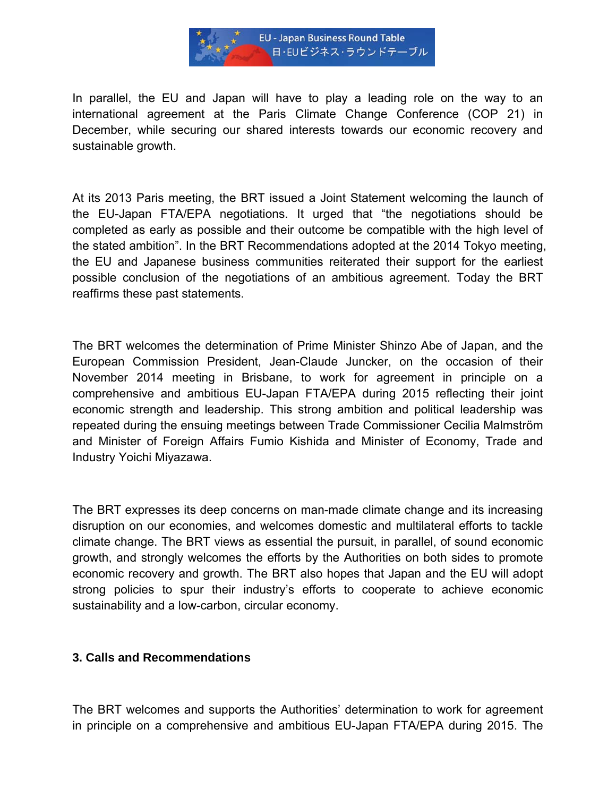

In parallel, the EU and Japan will have to play a leading role on the way to an international agreement at the Paris Climate Change Conference (COP 21) in December, while securing our shared interests towards our economic recovery and sustainable growth.

At its 2013 Paris meeting, the BRT issued a Joint Statement welcoming the launch of the EU-Japan FTA/EPA negotiations. It urged that "the negotiations should be completed as early as possible and their outcome be compatible with the high level of the stated ambition". In the BRT Recommendations adopted at the 2014 Tokyo meeting, the EU and Japanese business communities reiterated their support for the earliest possible conclusion of the negotiations of an ambitious agreement. Today the BRT reaffirms these past statements.

The BRT welcomes the determination of Prime Minister Shinzo Abe of Japan, and the European Commission President, Jean-Claude Juncker, on the occasion of their November 2014 meeting in Brisbane, to work for agreement in principle on a comprehensive and ambitious EU-Japan FTA/EPA during 2015 reflecting their joint economic strength and leadership. This strong ambition and political leadership was repeated during the ensuing meetings between Trade Commissioner Cecilia Malmström and Minister of Foreign Affairs Fumio Kishida and Minister of Economy, Trade and Industry Yoichi Miyazawa.

The BRT expresses its deep concerns on man-made climate change and its increasing disruption on our economies, and welcomes domestic and multilateral efforts to tackle climate change. The BRT views as essential the pursuit, in parallel, of sound economic growth, and strongly welcomes the efforts by the Authorities on both sides to promote economic recovery and growth. The BRT also hopes that Japan and the EU will adopt strong policies to spur their industry's efforts to cooperate to achieve economic sustainability and a low-carbon, circular economy.

### **3. Calls and Recommendations**

The BRT welcomes and supports the Authorities' determination to work for agreement in principle on a comprehensive and ambitious EU-Japan FTA/EPA during 2015. The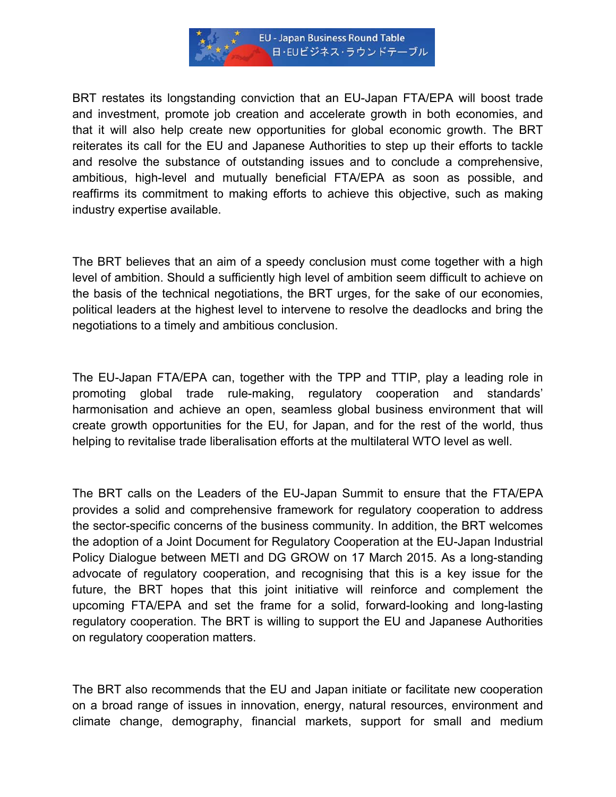

BRT restates its longstanding conviction that an EU-Japan FTA/EPA will boost trade and investment, promote job creation and accelerate growth in both economies, and that it will also help create new opportunities for global economic growth. The BRT reiterates its call for the EU and Japanese Authorities to step up their efforts to tackle and resolve the substance of outstanding issues and to conclude a comprehensive, ambitious, high-level and mutually beneficial FTA/EPA as soon as possible, and reaffirms its commitment to making efforts to achieve this objective, such as making industry expertise available.

The BRT believes that an aim of a speedy conclusion must come together with a high level of ambition. Should a sufficiently high level of ambition seem difficult to achieve on the basis of the technical negotiations, the BRT urges, for the sake of our economies, political leaders at the highest level to intervene to resolve the deadlocks and bring the negotiations to a timely and ambitious conclusion.

The EU-Japan FTA/EPA can, together with the TPP and TTIP, play a leading role in promoting global trade rule-making, regulatory cooperation and standards' harmonisation and achieve an open, seamless global business environment that will create growth opportunities for the EU, for Japan, and for the rest of the world, thus helping to revitalise trade liberalisation efforts at the multilateral WTO level as well.

The BRT calls on the Leaders of the EU-Japan Summit to ensure that the FTA/EPA provides a solid and comprehensive framework for regulatory cooperation to address the sector-specific concerns of the business community. In addition, the BRT welcomes the adoption of a Joint Document for Regulatory Cooperation at the EU-Japan Industrial Policy Dialogue between METI and DG GROW on 17 March 2015. As a long-standing advocate of regulatory cooperation, and recognising that this is a key issue for the future, the BRT hopes that this joint initiative will reinforce and complement the upcoming FTA/EPA and set the frame for a solid, forward-looking and long-lasting regulatory cooperation. The BRT is willing to support the EU and Japanese Authorities on regulatory cooperation matters.

The BRT also recommends that the EU and Japan initiate or facilitate new cooperation on a broad range of issues in innovation, energy, natural resources, environment and climate change, demography, financial markets, support for small and medium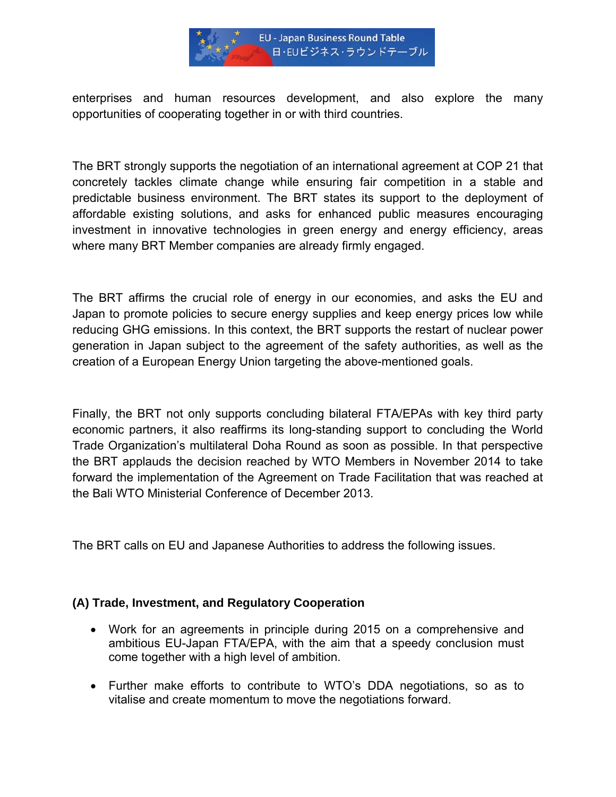

enterprises and human resources development, and also explore the many opportunities of cooperating together in or with third countries.

The BRT strongly supports the negotiation of an international agreement at COP 21 that concretely tackles climate change while ensuring fair competition in a stable and predictable business environment. The BRT states its support to the deployment of affordable existing solutions, and asks for enhanced public measures encouraging investment in innovative technologies in green energy and energy efficiency, areas where many BRT Member companies are already firmly engaged.

The BRT affirms the crucial role of energy in our economies, and asks the EU and Japan to promote policies to secure energy supplies and keep energy prices low while reducing GHG emissions. In this context, the BRT supports the restart of nuclear power generation in Japan subject to the agreement of the safety authorities, as well as the creation of a European Energy Union targeting the above-mentioned goals.

Finally, the BRT not only supports concluding bilateral FTA/EPAs with key third party economic partners, it also reaffirms its long-standing support to concluding the World Trade Organization's multilateral Doha Round as soon as possible. In that perspective the BRT applauds the decision reached by WTO Members in November 2014 to take forward the implementation of the Agreement on Trade Facilitation that was reached at the Bali WTO Ministerial Conference of December 2013.

The BRT calls on EU and Japanese Authorities to address the following issues.

### **(A) Trade, Investment, and Regulatory Cooperation**

- Work for an agreements in principle during 2015 on a comprehensive and ambitious EU-Japan FTA/EPA, with the aim that a speedy conclusion must come together with a high level of ambition.
- Further make efforts to contribute to WTO's DDA negotiations, so as to vitalise and create momentum to move the negotiations forward.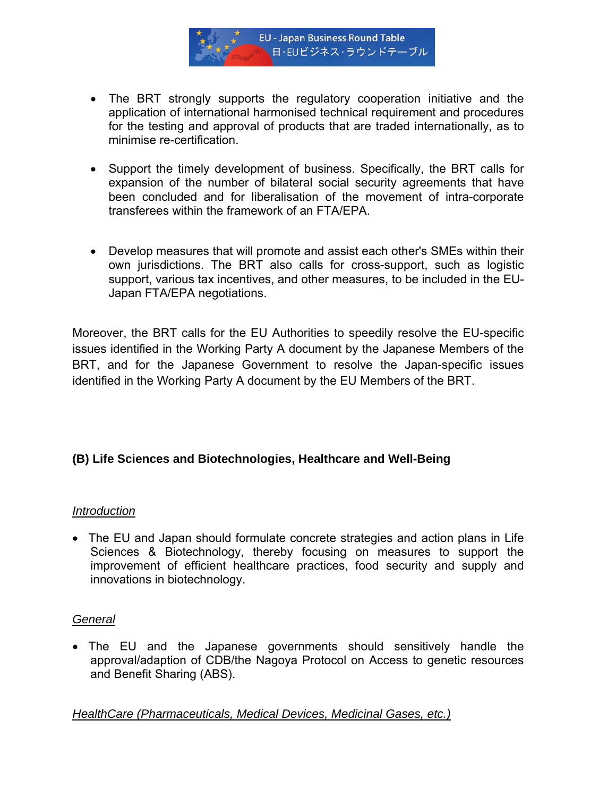

- The BRT strongly supports the regulatory cooperation initiative and the application of international harmonised technical requirement and procedures for the testing and approval of products that are traded internationally, as to minimise re-certification.
- Support the timely development of business. Specifically, the BRT calls for expansion of the number of bilateral social security agreements that have been concluded and for liberalisation of the movement of intra-corporate transferees within the framework of an FTA/EPA.
- Develop measures that will promote and assist each other's SMEs within their own jurisdictions. The BRT also calls for cross-support, such as logistic support, various tax incentives, and other measures, to be included in the EU-Japan FTA/EPA negotiations.

Moreover, the BRT calls for the EU Authorities to speedily resolve the EU-specific issues identified in the Working Party A document by the Japanese Members of the BRT, and for the Japanese Government to resolve the Japan-specific issues identified in the Working Party A document by the EU Members of the BRT.

## **(B) Life Sciences and Biotechnologies, Healthcare and Well-Being**

### *Introduction*

• The EU and Japan should formulate concrete strategies and action plans in Life Sciences & Biotechnology, thereby focusing on measures to support the improvement of efficient healthcare practices, food security and supply and innovations in biotechnology.

### *General*

• The EU and the Japanese governments should sensitively handle the approval/adaption of CDB/the Nagoya Protocol on Access to genetic resources and Benefit Sharing (ABS).

*HealthCare (Pharmaceuticals, Medical Devices, Medicinal Gases, etc.)*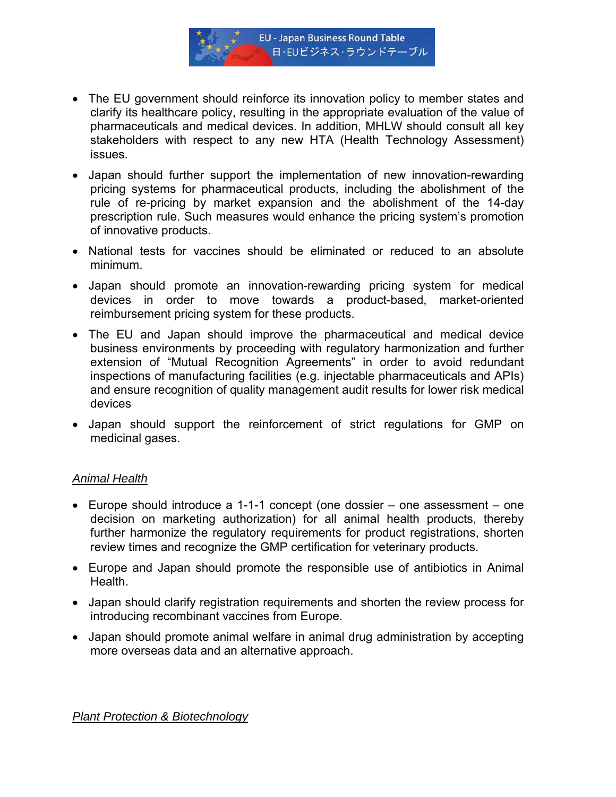

- The EU government should reinforce its innovation policy to member states and clarify its healthcare policy, resulting in the appropriate evaluation of the value of pharmaceuticals and medical devices. In addition, MHLW should consult all key stakeholders with respect to any new HTA (Health Technology Assessment) issues.
- Japan should further support the implementation of new innovation-rewarding pricing systems for pharmaceutical products, including the abolishment of the rule of re-pricing by market expansion and the abolishment of the 14-day prescription rule. Such measures would enhance the pricing system's promotion of innovative products.
- National tests for vaccines should be eliminated or reduced to an absolute minimum.
- Japan should promote an innovation-rewarding pricing system for medical devices in order to move towards a product-based, market-oriented reimbursement pricing system for these products.
- The EU and Japan should improve the pharmaceutical and medical device business environments by proceeding with regulatory harmonization and further extension of "Mutual Recognition Agreements" in order to avoid redundant inspections of manufacturing facilities (e.g. injectable pharmaceuticals and APIs) and ensure recognition of quality management audit results for lower risk medical devices
- Japan should support the reinforcement of strict regulations for GMP on medicinal gases.

### *Animal Health*

- Europe should introduce a 1-1-1 concept (one dossier one assessment one decision on marketing authorization) for all animal health products, thereby further harmonize the regulatory requirements for product registrations, shorten review times and recognize the GMP certification for veterinary products.
- Europe and Japan should promote the responsible use of antibiotics in Animal Health.
- Japan should clarify registration requirements and shorten the review process for introducing recombinant vaccines from Europe.
- Japan should promote animal welfare in animal drug administration by accepting more overseas data and an alternative approach.

*Plant Protection & Biotechnology*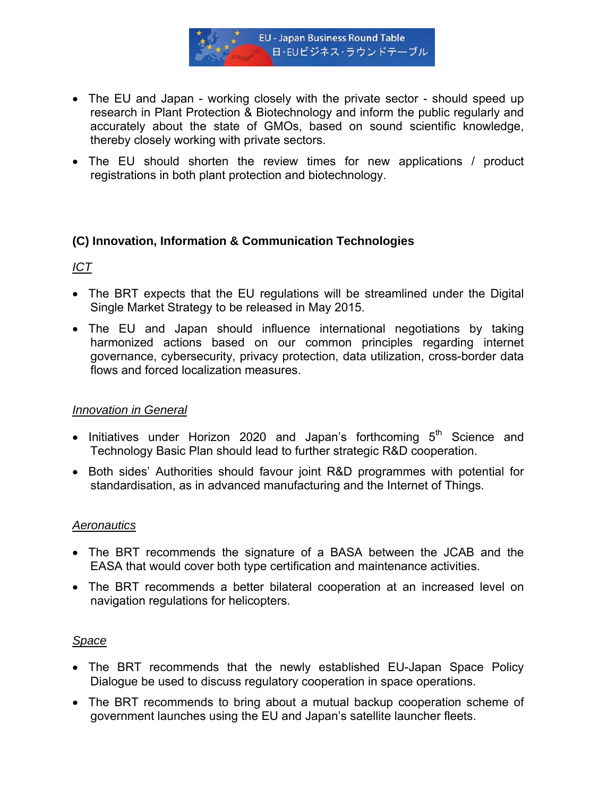

- The EU and Japan working closely with the private sector should speed up research in Plant Protection & Biotechnology and inform the public regularly and accurately about the state of GMOs, based on sound scientific knowledge, thereby closely working with private sectors.
- The EU should shorten the review times for new applications / product registrations in both plant protection and biotechnology.

### **(C) Innovation, Information & Communication Technologies**

# *ICT*

- The BRT expects that the EU regulations will be streamlined under the Digital Single Market Strategy to be released in May 2015.
- The EU and Japan should influence international negotiations by taking harmonized actions based on our common principles regarding internet governance, cybersecurity, privacy protection, data utilization, cross-border data flows and forced localization measures.

### *Innovation in General*

- Initiatives under Horizon 2020 and Japan's forthcoming  $5<sup>th</sup>$  Science and Technology Basic Plan should lead to further strategic R&D cooperation.
- Both sides' Authorities should favour joint R&D programmes with potential for standardisation, as in advanced manufacturing and the Internet of Things.

### *Aeronautics*

- The BRT recommends the signature of a BASA between the JCAB and the EASA that would cover both type certification and maintenance activities.
- The BRT recommends a better bilateral cooperation at an increased level on navigation regulations for helicopters.

## *Space*

- The BRT recommends that the newly established EU-Japan Space Policy Dialogue be used to discuss regulatory cooperation in space operations.
- The BRT recommends to bring about a mutual backup cooperation scheme of government launches using the EU and Japan's satellite launcher fleets.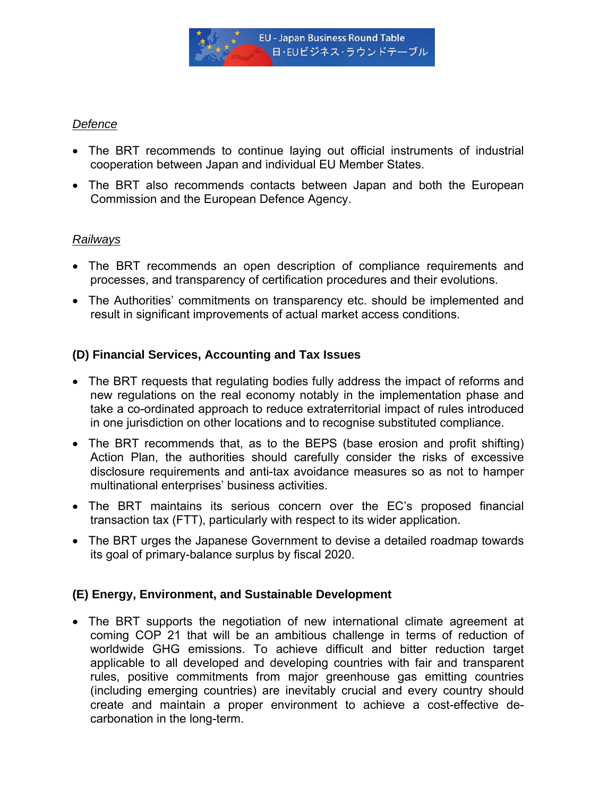

### *Defence*

- The BRT recommends to continue laying out official instruments of industrial cooperation between Japan and individual EU Member States.
- The BRT also recommends contacts between Japan and both the European Commission and the European Defence Agency.

## *Railways*

- The BRT recommends an open description of compliance requirements and processes, and transparency of certification procedures and their evolutions.
- The Authorities' commitments on transparency etc. should be implemented and result in significant improvements of actual market access conditions.

# **(D) Financial Services, Accounting and Tax Issues**

- The BRT requests that regulating bodies fully address the impact of reforms and new regulations on the real economy notably in the implementation phase and take a co-ordinated approach to reduce extraterritorial impact of rules introduced in one jurisdiction on other locations and to recognise substituted compliance.
- The BRT recommends that, as to the BEPS (base erosion and profit shifting) Action Plan, the authorities should carefully consider the risks of excessive disclosure requirements and anti-tax avoidance measures so as not to hamper multinational enterprises' business activities.
- The BRT maintains its serious concern over the EC's proposed financial transaction tax (FTT), particularly with respect to its wider application.
- The BRT urges the Japanese Government to devise a detailed roadmap towards its goal of primary-balance surplus by fiscal 2020.

## **(E) Energy, Environment, and Sustainable Development**

• The BRT supports the negotiation of new international climate agreement at coming COP 21 that will be an ambitious challenge in terms of reduction of worldwide GHG emissions. To achieve difficult and bitter reduction target applicable to all developed and developing countries with fair and transparent rules, positive commitments from major greenhouse gas emitting countries (including emerging countries) are inevitably crucial and every country should create and maintain a proper environment to achieve a cost-effective decarbonation in the long-term.